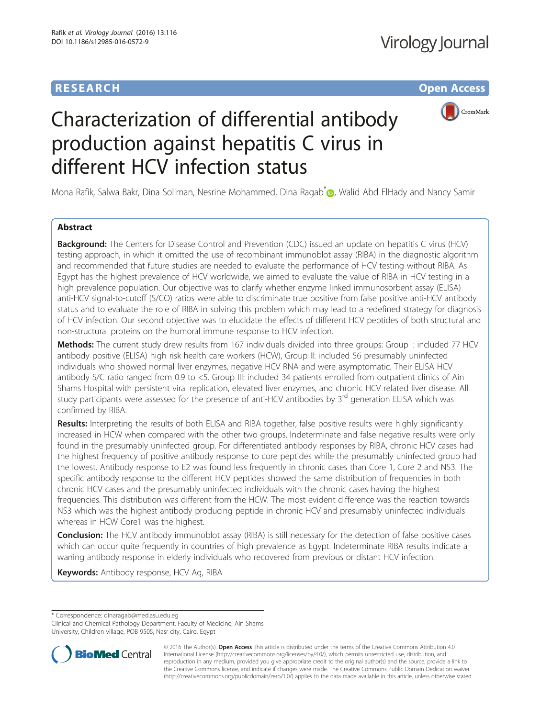# **RESEARCH CHE Open Access**



# Characterization of differential antibody production against hepatitis C virus in different HCV infection status

Mona Rafik, Salwa Bakr, Dina Soliman, Nesrine Mohammed, Dina Ragab<sup>[\\*](http://orcid.org/0000-0003-4738-9853)</sup> (D), Walid Abd ElHady and Nancy Samir

# Abstract

Background: The Centers for Disease Control and Prevention (CDC) issued an update on hepatitis C virus (HCV) testing approach, in which it omitted the use of recombinant immunoblot assay (RIBA) in the diagnostic algorithm and recommended that future studies are needed to evaluate the performance of HCV testing without RIBA. As Egypt has the highest prevalence of HCV worldwide, we aimed to evaluate the value of RIBA in HCV testing in a high prevalence population. Our objective was to clarify whether enzyme linked immunosorbent assay (ELISA) anti-HCV signal-to-cutoff (S/CO) ratios were able to discriminate true positive from false positive anti-HCV antibody status and to evaluate the role of RIBA in solving this problem which may lead to a redefined strategy for diagnosis of HCV infection. Our second objective was to elucidate the effects of different HCV peptides of both structural and non-structural proteins on the humoral immune response to HCV infection.

Methods: The current study drew results from 167 individuals divided into three groups: Group I: included 77 HCV antibody positive (ELISA) high risk health care workers (HCW), Group II: included 56 presumably uninfected individuals who showed normal liver enzymes, negative HCV RNA and were asymptomatic. Their ELISA HCV antibody S/C ratio ranged from 0.9 to <5. Group III: included 34 patients enrolled from outpatient clinics of Ain Shams Hospital with persistent viral replication, elevated liver enzymes, and chronic HCV related liver disease. All study participants were assessed for the presence of anti-HCV antibodies by 3<sup>rd</sup> generation ELISA which was confirmed by RIBA.

Results: Interpreting the results of both ELISA and RIBA together, false positive results were highly significantly increased in HCW when compared with the other two groups. Indeterminate and false negative results were only found in the presumably uninfected group. For differentiated antibody responses by RIBA, chronic HCV cases had the highest frequency of positive antibody response to core peptides while the presumably uninfected group had the lowest. Antibody response to E2 was found less frequently in chronic cases than Core 1, Core 2 and NS3. The specific antibody response to the different HCV peptides showed the same distribution of frequencies in both chronic HCV cases and the presumably uninfected individuals with the chronic cases having the highest frequencies. This distribution was different from the HCW. The most evident difference was the reaction towards NS3 which was the highest antibody producing peptide in chronic HCV and presumably uninfected individuals whereas in HCW Core1 was the highest.

**Conclusion:** The HCV antibody immunoblot assay (RIBA) is still necessary for the detection of false positive cases which can occur quite frequently in countries of high prevalence as Egypt. Indeterminate RIBA results indicate a waning antibody response in elderly individuals who recovered from previous or distant HCV infection.

Keywords: Antibody response, HCV Ag, RIBA

\* Correspondence: [dinaragab@med.asu.edu.eg](mailto:dinaragab@med.asu.edu.eg)

Clinical and Chemical Pathology Department, Faculty of Medicine, Ain Shams University, Children village, POB 9505, Nasr city, Cairo, Egypt



© 2016 The Author(s). Open Access This article is distributed under the terms of the Creative Commons Attribution 4.0 International License [\(http://creativecommons.org/licenses/by/4.0/](http://creativecommons.org/licenses/by/4.0/)), which permits unrestricted use, distribution, and reproduction in any medium, provided you give appropriate credit to the original author(s) and the source, provide a link to the Creative Commons license, and indicate if changes were made. The Creative Commons Public Domain Dedication waiver [\(http://creativecommons.org/publicdomain/zero/1.0/](http://creativecommons.org/publicdomain/zero/1.0/)) applies to the data made available in this article, unless otherwise stated.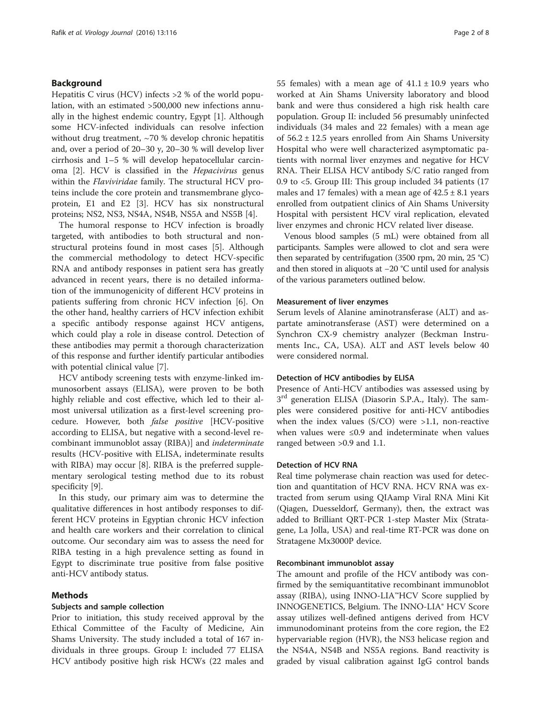# Background

Hepatitis C virus (HCV) infects >2 % of the world population, with an estimated >500,000 new infections annually in the highest endemic country, Egypt [[1](#page-7-0)]. Although some HCV-infected individuals can resolve infection without drug treatment, ~70 % develop chronic hepatitis and, over a period of 20–30 y, 20–30 % will develop liver cirrhosis and 1–5 % will develop hepatocellular carcinoma [\[2](#page-7-0)]. HCV is classified in the Hepacivirus genus within the Flaviviridae family. The structural HCV proteins include the core protein and transmembrane glycoprotein, E1 and E2 [\[3](#page-7-0)]. HCV has six nonstructural proteins; NS2, NS3, NS4A, NS4B, NS5A and NS5B [\[4](#page-7-0)].

The humoral response to HCV infection is broadly targeted, with antibodies to both structural and nonstructural proteins found in most cases [[5\]](#page-7-0). Although the commercial methodology to detect HCV-specific RNA and antibody responses in patient sera has greatly advanced in recent years, there is no detailed information of the immunogenicity of different HCV proteins in patients suffering from chronic HCV infection [[6\]](#page-7-0). On the other hand, healthy carriers of HCV infection exhibit a specific antibody response against HCV antigens, which could play a role in disease control. Detection of these antibodies may permit a thorough characterization of this response and further identify particular antibodies with potential clinical value [[7](#page-7-0)].

HCV antibody screening tests with enzyme-linked immunosorbent assays (ELISA), were proven to be both highly reliable and cost effective, which led to their almost universal utilization as a first-level screening procedure. However, both false positive [HCV-positive according to ELISA, but negative with a second-level recombinant immunoblot assay (RIBA)] and indeterminate results (HCV-positive with ELISA, indeterminate results with RIBA) may occur [[8](#page-7-0)]. RIBA is the preferred supplementary serological testing method due to its robust specificity [\[9](#page-7-0)].

In this study, our primary aim was to determine the qualitative differences in host antibody responses to different HCV proteins in Egyptian chronic HCV infection and health care workers and their correlation to clinical outcome. Our secondary aim was to assess the need for RIBA testing in a high prevalence setting as found in Egypt to discriminate true positive from false positive anti-HCV antibody status.

# Methods

# Subjects and sample collection

Prior to initiation, this study received approval by the Ethical Committee of the Faculty of Medicine, Ain Shams University. The study included a total of 167 individuals in three groups. Group I: included 77 ELISA HCV antibody positive high risk HCWs (22 males and 55 females) with a mean age of  $41.1 \pm 10.9$  years who worked at Ain Shams University laboratory and blood bank and were thus considered a high risk health care population. Group II: included 56 presumably uninfected individuals (34 males and 22 females) with a mean age of  $56.2 \pm 12.5$  years enrolled from Ain Shams University Hospital who were well characterized asymptomatic patients with normal liver enzymes and negative for HCV RNA. Their ELISA HCV antibody S/C ratio ranged from 0.9 to <5. Group III: This group included 34 patients (17 males and 17 females) with a mean age of  $42.5 \pm 8.1$  years enrolled from outpatient clinics of Ain Shams University Hospital with persistent HCV viral replication, elevated liver enzymes and chronic HCV related liver disease.

Venous blood samples (5 mL) were obtained from all participants. Samples were allowed to clot and sera were then separated by centrifugation (3500 rpm, 20 min, 25 °C) and then stored in aliquots at −20 °C until used for analysis of the various parameters outlined below.

#### Measurement of liver enzymes

Serum levels of Alanine aminotransferase (ALT) and aspartate aminotransferase (AST) were determined on a Synchron CX-9 chemistry analyzer (Beckman Instruments Inc., CA, USA). ALT and AST levels below 40 were considered normal.

#### Detection of HCV antibodies by ELISA

Presence of Anti-HCV antibodies was assessed using by 3<sup>rd</sup> generation ELISA (Diasorin S.P.A., Italy). The samples were considered positive for anti-HCV antibodies when the index values (S/CO) were >1.1, non-reactive when values were ≤0.9 and indeterminate when values ranged between >0.9 and 1.1.

# Detection of HCV RNA

Real time polymerase chain reaction was used for detection and quantitation of HCV RNA. HCV RNA was extracted from serum using QIAamp Viral RNA Mini Kit (Qiagen, Duesseldorf, Germany), then, the extract was added to Brilliant QRT-PCR 1-step Master Mix (Stratagene, La Jolla, USA) and real-time RT-PCR was done on Stratagene Mx3000P device.

# Recombinant immunoblot assay

The amount and profile of the HCV antibody was confirmed by the semiquantitative recombinant immunoblot assay (RIBA), using INNO-LIA™HCV Score supplied by INNOGENETICS, Belgium. The INNO-LIA® HCV Score assay utilizes well-defined antigens derived from HCV immunodominant proteins from the core region, the E2 hypervariable region (HVR), the NS3 helicase region and the NS4A, NS4B and NS5A regions. Band reactivity is graded by visual calibration against IgG control bands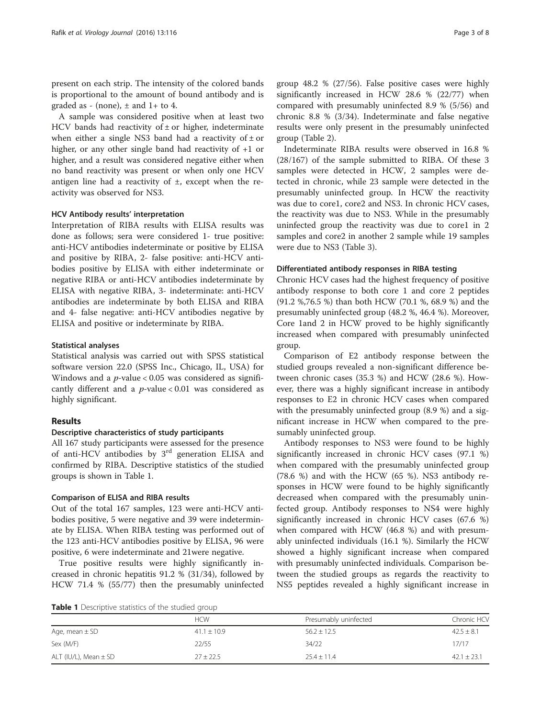present on each strip. The intensity of the colored bands is proportional to the amount of bound antibody and is graded as - (none),  $\pm$  and 1+ to 4.

A sample was considered positive when at least two HCV bands had reactivity of  $\pm$  or higher, indeterminate when either a single NS3 band had a reactivity of  $\pm$  or higher, or any other single band had reactivity of +1 or higher, and a result was considered negative either when no band reactivity was present or when only one HCV antigen line had a reactivity of  $\pm$ , except when the reactivity was observed for NS3.

# HCV Antibody results' interpretation

Interpretation of RIBA results with ELISA results was done as follows; sera were considered 1- true positive: anti-HCV antibodies indeterminate or positive by ELISA and positive by RIBA, 2- false positive: anti-HCV antibodies positive by ELISA with either indeterminate or negative RIBA or anti-HCV antibodies indeterminate by ELISA with negative RIBA, 3- indeterminate: anti-HCV antibodies are indeterminate by both ELISA and RIBA and 4- false negative: anti-HCV antibodies negative by ELISA and positive or indeterminate by RIBA.

# Statistical analyses

Statistical analysis was carried out with SPSS statistical software version 22.0 (SPSS Inc., Chicago, IL, USA) for Windows and a  $p$ -value < 0.05 was considered as significantly different and a  $p$ -value < 0.01 was considered as highly significant.

# Results

#### Descriptive characteristics of study participants

All 167 study participants were assessed for the presence of anti-HCV antibodies by  $3<sup>rd</sup>$  generation ELISA and confirmed by RIBA. Descriptive statistics of the studied groups is shown in Table 1.

#### Comparison of ELISA and RIBA results

Out of the total 167 samples, 123 were anti-HCV antibodies positive, 5 were negative and 39 were indeterminate by ELISA. When RIBA testing was performed out of the 123 anti-HCV antibodies positive by ELISA, 96 were positive, 6 were indeterminate and 21were negative.

True positive results were highly significantly increased in chronic hepatitis 91.2 % (31/34), followed by HCW 71.4 % (55/77) then the presumably uninfected group 48.2 % (27/56). False positive cases were highly significantly increased in HCW 28.6 % (22/77) when compared with presumably uninfected 8.9 % (5/56) and chronic 8.8 % (3/34). Indeterminate and false negative results were only present in the presumably uninfected group (Table [2\)](#page-3-0).

Indeterminate RIBA results were observed in 16.8 % (28/167) of the sample submitted to RIBA. Of these 3 samples were detected in HCW, 2 samples were detected in chronic, while 23 sample were detected in the presumably uninfected group. In HCW the reactivity was due to core1, core2 and NS3. In chronic HCV cases, the reactivity was due to NS3. While in the presumably uninfected group the reactivity was due to core1 in 2 samples and core2 in another 2 sample while 19 samples were due to NS3 (Table [3\)](#page-3-0).

#### Differentiated antibody responses in RIBA testing

Chronic HCV cases had the highest frequency of positive antibody response to both core 1 and core 2 peptides (91.2 %,76.5 %) than both HCW (70.1 %, 68.9 %) and the presumably uninfected group (48.2 %, 46.4 %). Moreover, Core 1and 2 in HCW proved to be highly significantly increased when compared with presumably uninfected group.

Comparison of E2 antibody response between the studied groups revealed a non-significant difference between chronic cases (35.3 %) and HCW (28.6 %). However, there was a highly significant increase in antibody responses to E2 in chronic HCV cases when compared with the presumably uninfected group (8.9 %) and a significant increase in HCW when compared to the presumably uninfected group.

Antibody responses to NS3 were found to be highly significantly increased in chronic HCV cases (97.1 %) when compared with the presumably uninfected group (78.6 %) and with the HCW (65 %). NS3 antibody responses in HCW were found to be highly significantly decreased when compared with the presumably uninfected group. Antibody responses to NS4 were highly significantly increased in chronic HCV cases (67.6 %) when compared with HCW (46.8 %) and with presumably uninfected individuals (16.1 %). Similarly the HCW showed a highly significant increase when compared with presumably uninfected individuals. Comparison between the studied groups as regards the reactivity to NS5 peptides revealed a highly significant increase in

Table 1 Descriptive statistics of the studied group

|                           | <b>HCW</b>      | Presumably uninfected | Chronic HCV     |
|---------------------------|-----------------|-----------------------|-----------------|
| Age, mean $\pm$ SD        | $41.1 \pm 10.9$ | $56.2 \pm 12.5$       | $42.5 + 8.1$    |
| Sex (M/F)                 | 22/55           | 34/22                 | 17/17           |
| ALT (IU/L), Mean $\pm$ SD | $27 \pm 22.5$   | $25.4 \pm 11.4$       | $42.1 \pm 23.1$ |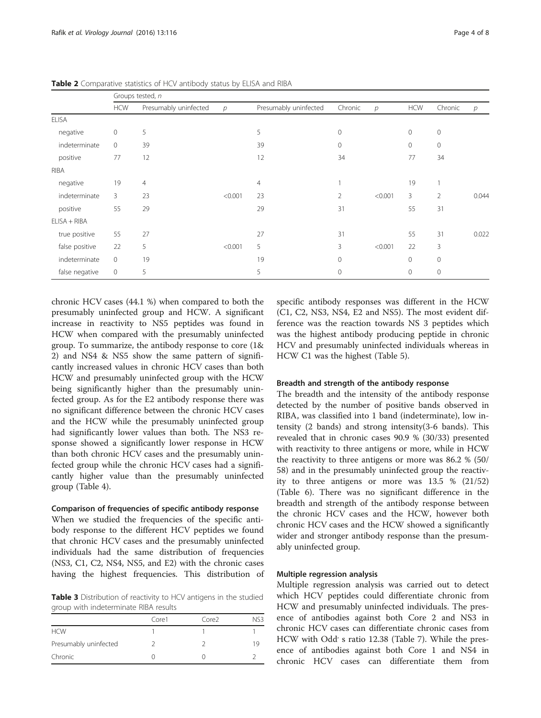|                | Groups tested, n |                       |         |                       |                |               |              |                     |       |
|----------------|------------------|-----------------------|---------|-----------------------|----------------|---------------|--------------|---------------------|-------|
|                | <b>HCW</b>       | Presumably uninfected | р       | Presumably uninfected | Chronic        | $\mathcal{D}$ | <b>HCW</b>   | Chronic             | p     |
| <b>ELISA</b>   |                  |                       |         |                       |                |               |              |                     |       |
| negative       | $\mathbf{0}$     | 5                     |         | 5                     | $\mathbf 0$    |               | $\mathbf{0}$ | $\mathsf{O}\xspace$ |       |
| indeterminate  | $\mathbf{0}$     | 39                    |         | 39                    | $\mathbf{0}$   |               | $\circ$      | 0                   |       |
| positive       | 77               | 12                    |         | 12                    | 34             |               | 77           | 34                  |       |
| <b>RIBA</b>    |                  |                       |         |                       |                |               |              |                     |       |
| negative       | 19               | 4                     |         | 4                     |                |               | 19           |                     |       |
| indeterminate  | 3                | 23                    | < 0.001 | 23                    | $\overline{2}$ | < 0.001       | $\mathbf{3}$ | 2                   | 0.044 |
| positive       | 55               | 29                    |         | 29                    | 31             |               | 55           | 31                  |       |
| ELISA + RIBA   |                  |                       |         |                       |                |               |              |                     |       |
| true positive  | 55               | 27                    |         | 27                    | 31             |               | 55           | 31                  | 0.022 |
| false positive | 22               | 5                     | < 0.001 | 5                     | 3              | < 0.001       | 22           | 3                   |       |
| indeterminate  | $\mathbf{0}$     | 19                    |         | 19                    | $\mathbf{0}$   |               | $\mathbf 0$  | 0                   |       |
| false negative | $\mathbf 0$      | 5                     |         | 5                     | $\mathbf 0$    |               | $\mathbf{0}$ | $\mathbf 0$         |       |

<span id="page-3-0"></span>Table 2 Comparative statistics of HCV antibody status by ELISA and RIBA

chronic HCV cases (44.1 %) when compared to both the presumably uninfected group and HCW. A significant increase in reactivity to NS5 peptides was found in HCW when compared with the presumably uninfected group. To summarize, the antibody response to core (1& 2) and NS4 & NS5 show the same pattern of significantly increased values in chronic HCV cases than both HCW and presumably uninfected group with the HCW being significantly higher than the presumably uninfected group. As for the E2 antibody response there was no significant difference between the chronic HCV cases and the HCW while the presumably uninfected group had significantly lower values than both. The NS3 response showed a significantly lower response in HCW than both chronic HCV cases and the presumably uninfected group while the chronic HCV cases had a significantly higher value than the presumably uninfected group (Table [4\)](#page-4-0).

# Comparison of frequencies of specific antibody response

When we studied the frequencies of the specific antibody response to the different HCV peptides we found that chronic HCV cases and the presumably uninfected individuals had the same distribution of frequencies (NS3, C1, C2, NS4, NS5, and E2) with the chronic cases having the highest frequencies. This distribution of

Table 3 Distribution of reactivity to HCV antigens in the studied group with indeterminate RIBA results

|                       | Core1 | Core <sub>2</sub> | NS3 |
|-----------------------|-------|-------------------|-----|
| <b>HCW</b>            |       |                   |     |
| Presumably uninfected |       |                   | 19  |
| Chronic               |       |                   |     |

specific antibody responses was different in the HCW (C1, C2, NS3, NS4, E2 and NS5). The most evident difference was the reaction towards NS 3 peptides which was the highest antibody producing peptide in chronic HCV and presumably uninfected individuals whereas in HCW C1 was the highest (Table [5\)](#page-4-0).

#### Breadth and strength of the antibody response

The breadth and the intensity of the antibody response detected by the number of positive bands observed in RIBA, was classified into 1 band (indeterminate), low intensity (2 bands) and strong intensity(3-6 bands). This revealed that in chronic cases 90.9 % (30/33) presented with reactivity to three antigens or more, while in HCW the reactivity to three antigens or more was 86.2 % (50/ 58) and in the presumably uninfected group the reactivity to three antigens or more was 13.5 % (21/52) (Table [6\)](#page-5-0). There was no significant difference in the breadth and strength of the antibody response between the chronic HCV cases and the HCW, however both chronic HCV cases and the HCW showed a significantly wider and stronger antibody response than the presumably uninfected group.

# Multiple regression analysis

Multiple regression analysis was carried out to detect which HCV peptides could differentiate chronic from HCW and presumably uninfected individuals. The presence of antibodies against both Core 2 and NS3 in chronic HCV cases can differentiate chronic cases from HCW with Odd' s ratio 12.38 (Table [7\)](#page-5-0). While the presence of antibodies against both Core 1 and NS4 in chronic HCV cases can differentiate them from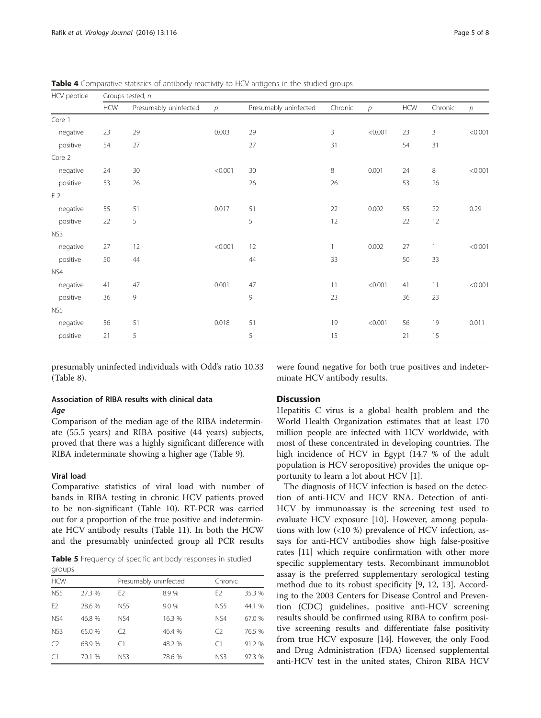| HCV peptide |            | Groups tested, n      |         |                       |              |                |            |              |                  |  |  |  |
|-------------|------------|-----------------------|---------|-----------------------|--------------|----------------|------------|--------------|------------------|--|--|--|
|             | <b>HCW</b> | Presumably uninfected | р       | Presumably uninfected | Chronic      | $\overline{p}$ | <b>HCW</b> | Chronic      | $\boldsymbol{p}$ |  |  |  |
| Core 1      |            |                       |         |                       |              |                |            |              |                  |  |  |  |
| negative    | 23         | 29                    | 0.003   | 29                    | 3            | < 0.001        | 23         | $\mathbf{3}$ | < 0.001          |  |  |  |
| positive    | 54         | 27                    |         | 27                    | 31           |                | 54         | 31           |                  |  |  |  |
| Core 2      |            |                       |         |                       |              |                |            |              |                  |  |  |  |
| negative    | 24         | 30                    | < 0.001 | 30                    | 8            | 0.001          | 24         | 8            | < 0.001          |  |  |  |
| positive    | 53         | 26                    |         | 26                    | 26           |                | 53         | 26           |                  |  |  |  |
| E 2         |            |                       |         |                       |              |                |            |              |                  |  |  |  |
| negative    | 55         | 51                    | 0.017   | 51                    | 22           | 0.002          | 55         | 22           | 0.29             |  |  |  |
| positive    | 22         | 5                     |         | 5                     | 12           |                | 22         | 12           |                  |  |  |  |
| NS3         |            |                       |         |                       |              |                |            |              |                  |  |  |  |
| negative    | 27         | 12                    | < 0.001 | 12                    | $\mathbf{1}$ | 0.002          | 27         | $\mathbf{1}$ | < 0.001          |  |  |  |
| positive    | 50         | 44                    |         | 44                    | 33           |                | 50         | 33           |                  |  |  |  |
| NS4         |            |                       |         |                       |              |                |            |              |                  |  |  |  |
| negative    | 41         | 47                    | 0.001   | 47                    | 11           | < 0.001        | 41         | 11           | < 0.001          |  |  |  |
| positive    | 36         | 9                     |         | 9                     | 23           |                | 36         | 23           |                  |  |  |  |
| NS5         |            |                       |         |                       |              |                |            |              |                  |  |  |  |
| negative    | 56         | 51                    | 0.018   | 51                    | 19           | < 0.001        | 56         | 19           | 0.011            |  |  |  |
| positive    | 21         | 5                     |         | 5                     | 15           |                | 21         | 15           |                  |  |  |  |

<span id="page-4-0"></span>Table 4 Comparative statistics of antibody reactivity to HCV antigens in the studied groups

presumably uninfected individuals with Odd's ratio 10.33 (Table [8\)](#page-6-0).

# Association of RIBA results with clinical data

Comparison of the median age of the RIBA indeterminate (55.5 years) and RIBA positive (44 years) subjects, proved that there was a highly significant difference with RIBA indeterminate showing a higher age (Table [9](#page-6-0)).

# Viral load

Comparative statistics of viral load with number of bands in RIBA testing in chronic HCV patients proved to be non-significant (Table [10](#page-6-0)). RT-PCR was carried out for a proportion of the true positive and indeterminate HCV antibody results (Table [11\)](#page-6-0). In both the HCW and the presumably uninfected group all PCR results

Table 5 Frequency of specific antibody responses in studied groups

| <b>HCW</b>      |        |                 | Presumably uninfected |                | Chronic |  |  |
|-----------------|--------|-----------------|-----------------------|----------------|---------|--|--|
| NS5             | 27.3 % | F2              | 8.9%                  | F <sub>2</sub> | 35.3 %  |  |  |
| F <sub>2</sub>  | 28.6 % | NS5             | 9.0 %                 | NS5            | 44.1 %  |  |  |
| N <sub>S4</sub> | 46.8%  | N <sub>S4</sub> | 16.3 %                | NS4            | 67.0 %  |  |  |
| NS3             | 65.0%  | C2              | 46.4 %                | $\bigcirc$     | 76.5 %  |  |  |
| $\bigcirc$      | 68.9 % | $\subset$ 1     | 48.2 %                | $\subset$ 1    | 91.2 %  |  |  |
| C <sub>1</sub>  | 70.1 % | NS <sub>3</sub> | 78.6 %                | NS3            | 97.3 %  |  |  |

were found negative for both true positives and indeterminate HCV antibody results.

# **Discussion**

Hepatitis C virus is a global health problem and the World Health Organization estimates that at least 170 million people are infected with HCV worldwide, with most of these concentrated in developing countries. The high incidence of HCV in Egypt (14.7 % of the adult population is HCV seropositive) provides the unique opportunity to learn a lot about HCV [[1\]](#page-7-0).

The diagnosis of HCV infection is based on the detection of anti-HCV and HCV RNA. Detection of anti-HCV by immunoassay is the screening test used to evaluate HCV exposure [[10](#page-7-0)]. However, among populations with low (<10 %) prevalence of HCV infection, assays for anti-HCV antibodies show high false-positive rates [[11\]](#page-7-0) which require confirmation with other more specific supplementary tests. Recombinant immunoblot assay is the preferred supplementary serological testing method due to its robust specificity [\[9](#page-7-0), [12, 13](#page-7-0)]. According to the 2003 Centers for Disease Control and Prevention (CDC) guidelines, positive anti-HCV screening results should be confirmed using RIBA to confirm positive screening results and differentiate false positivity from true HCV exposure [\[14](#page-7-0)]. However, the only Food and Drug Administration (FDA) licensed supplemental anti-HCV test in the united states, Chiron RIBA HCV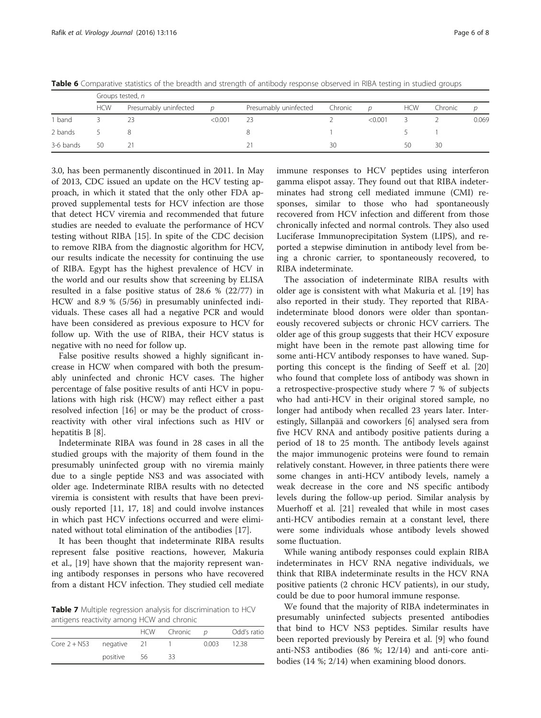|           | Groups tested, n |                       |               |                       |         |         |            |         |       |
|-----------|------------------|-----------------------|---------------|-----------------------|---------|---------|------------|---------|-------|
|           | <b>HCW</b>       | Presumably uninfected | D             | Presumably uninfected | Chronic | D       | <b>HCW</b> | Chronic |       |
| 1 band    |                  |                       | $<$ 0.001 $<$ | 23                    |         | < 0.001 |            |         | 0.069 |
| 2 bands   |                  |                       |               |                       |         |         |            |         |       |
| 3-6 bands | 50               |                       |               |                       | 30      |         | 50         | 30      |       |

<span id="page-5-0"></span>Table 6 Comparative statistics of the breadth and strength of antibody response observed in RIBA testing in studied groups

3.0, has been permanently discontinued in 2011. In May of 2013, CDC issued an update on the HCV testing approach, in which it stated that the only other FDA approved supplemental tests for HCV infection are those that detect HCV viremia and recommended that future studies are needed to evaluate the performance of HCV testing without RIBA [\[15](#page-7-0)]. In spite of the CDC decision to remove RIBA from the diagnostic algorithm for HCV, our results indicate the necessity for continuing the use of RIBA. Egypt has the highest prevalence of HCV in the world and our results show that screening by ELISA resulted in a false positive status of 28.6 % (22/77) in HCW and 8.9 % (5/56) in presumably uninfected individuals. These cases all had a negative PCR and would have been considered as previous exposure to HCV for follow up. With the use of RIBA, their HCV status is negative with no need for follow up.

False positive results showed a highly significant increase in HCW when compared with both the presumably uninfected and chronic HCV cases. The higher percentage of false positive results of anti HCV in populations with high risk (HCW) may reflect either a past resolved infection [\[16](#page-7-0)] or may be the product of crossreactivity with other viral infections such as HIV or hepatitis B [\[8](#page-7-0)].

Indeterminate RIBA was found in 28 cases in all the studied groups with the majority of them found in the presumably uninfected group with no viremia mainly due to a single peptide NS3 and was associated with older age. Indeterminate RIBA results with no detected viremia is consistent with results that have been previously reported [\[11](#page-7-0), [17](#page-7-0), [18\]](#page-7-0) and could involve instances in which past HCV infections occurred and were eliminated without total elimination of the antibodies [[17\]](#page-7-0).

It has been thought that indeterminate RIBA results represent false positive reactions, however, Makuria et al., [[19\]](#page-7-0) have shown that the majority represent waning antibody responses in persons who have recovered from a distant HCV infection. They studied cell mediate

Table 7 Multiple regression analysis for discrimination to HCV antigens reactivity among HCW and chronic

|                            |          | <b>HCW</b> | Chronic | $\overline{D}$ | Odd's ratio |
|----------------------------|----------|------------|---------|----------------|-------------|
| Core $2 + NS3$ negative 21 |          |            |         | 0.003          | 12.38       |
|                            | positive | 56         | 33      |                |             |

immune responses to HCV peptides using interferon gamma elispot assay. They found out that RIBA indeterminates had strong cell mediated immune (CMI) responses, similar to those who had spontaneously recovered from HCV infection and different from those chronically infected and normal controls. They also used Luciferase Immunoprecipitation System (LIPS), and reported a stepwise diminution in antibody level from being a chronic carrier, to spontaneously recovered, to RIBA indeterminate.

The association of indeterminate RIBA results with older age is consistent with what Makuria et al. [[19](#page-7-0)] has also reported in their study. They reported that RIBAindeterminate blood donors were older than spontaneously recovered subjects or chronic HCV carriers. The older age of this group suggests that their HCV exposure might have been in the remote past allowing time for some anti-HCV antibody responses to have waned. Supporting this concept is the finding of Seeff et al. [[20](#page-7-0)] who found that complete loss of antibody was shown in a retrospective-prospective study where 7 % of subjects who had anti-HCV in their original stored sample, no longer had antibody when recalled 23 years later. Interestingly, Sillanpää and coworkers [[6\]](#page-7-0) analysed sera from five HCV RNA and antibody positive patients during a period of 18 to 25 month. The antibody levels against the major immunogenic proteins were found to remain relatively constant. However, in three patients there were some changes in anti-HCV antibody levels, namely a weak decrease in the core and NS specific antibody levels during the follow-up period. Similar analysis by Muerhoff et al. [\[21\]](#page-7-0) revealed that while in most cases anti-HCV antibodies remain at a constant level, there were some individuals whose antibody levels showed some fluctuation.

While waning antibody responses could explain RIBA indeterminates in HCV RNA negative individuals, we think that RIBA indeterminate results in the HCV RNA positive patients (2 chronic HCV patients), in our study, could be due to poor humoral immune response.

We found that the majority of RIBA indeterminates in presumably uninfected subjects presented antibodies that bind to HCV NS3 peptides. Similar results have been reported previously by Pereira et al. [\[9](#page-7-0)] who found anti-NS3 antibodies (86 %; 12/14) and anti-core antibodies (14 %; 2/14) when examining blood donors.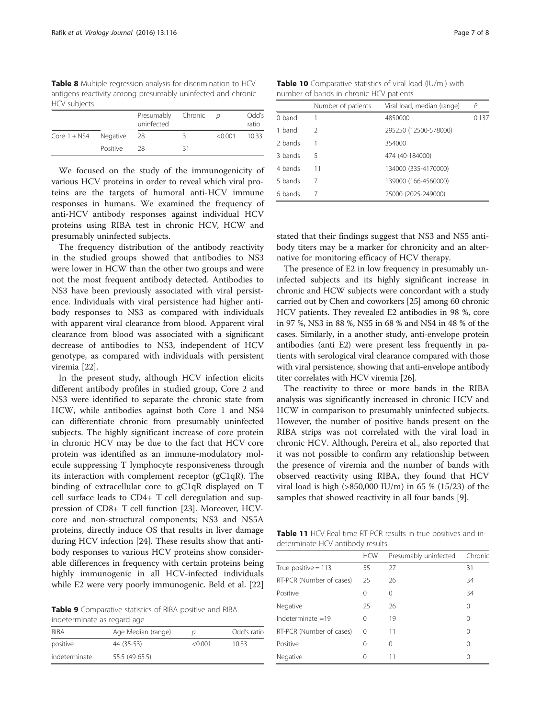<span id="page-6-0"></span>Table 8 Multiple regression analysis for discrimination to HCV antigens reactivity among presumably uninfected and chronic HCV subjects

|                            |          | Presumably Chronic<br>uninfected |    |         | Odd's<br>ratio |
|----------------------------|----------|----------------------------------|----|---------|----------------|
| Core $1 + NS4$ Negative 28 |          |                                  |    | < 0.001 | 10.33          |
|                            | Positive | 28                               | 31 |         |                |

We focused on the study of the immunogenicity of various HCV proteins in order to reveal which viral proteins are the targets of humoral anti-HCV immune responses in humans. We examined the frequency of anti-HCV antibody responses against individual HCV proteins using RIBA test in chronic HCV, HCW and presumably uninfected subjects.

The frequency distribution of the antibody reactivity in the studied groups showed that antibodies to NS3 were lower in HCW than the other two groups and were not the most frequent antibody detected. Antibodies to NS3 have been previously associated with viral persistence. Individuals with viral persistence had higher antibody responses to NS3 as compared with individuals with apparent viral clearance from blood. Apparent viral clearance from blood was associated with a significant decrease of antibodies to NS3, independent of HCV genotype, as compared with individuals with persistent viremia [\[22\]](#page-7-0).

In the present study, although HCV infection elicits different antibody profiles in studied group, Core 2 and NS3 were identified to separate the chronic state from HCW, while antibodies against both Core 1 and NS4 can differentiate chronic from presumably uninfected subjects. The highly significant increase of core protein in chronic HCV may be due to the fact that HCV core protein was identified as an immune-modulatory molecule suppressing T lymphocyte responsiveness through its interaction with complement receptor (gC1qR). The binding of extracellular core to gC1qR displayed on T cell surface leads to CD4+ T cell deregulation and suppression of CD8+ T cell function [\[23\]](#page-7-0). Moreover, HCVcore and non-structural components; NS3 and NS5A proteins, directly induce OS that results in liver damage during HCV infection [[24\]](#page-7-0). These results show that antibody responses to various HCV proteins show considerable differences in frequency with certain proteins being highly immunogenic in all HCV-infected individuals while E2 were very poorly immunogenic. Beld et al. [[22](#page-7-0)]

Table 9 Comparative statistics of RIBA positive and RIBA indeterminate as regard age

| mactemmate as regard age |                    |         |             |  |  |  |
|--------------------------|--------------------|---------|-------------|--|--|--|
| RIBA                     | Age Median (range) |         | Odd's ratio |  |  |  |
| positive                 | 44 (35-53)         | < 0.001 | 10.33       |  |  |  |
| indeterminate            | 55.5 (49-65.5)     |         |             |  |  |  |

| <b>Table 10</b> Comparative statistics of viral load (IU/ml) with |  |
|-------------------------------------------------------------------|--|
| number of bands in chronic HCV patients                           |  |

|         | Number of patients | Viral load, median (range) | P     |
|---------|--------------------|----------------------------|-------|
|         |                    |                            |       |
| 0 band  |                    | 4850000                    | 0.137 |
| 1 band  | $\mathcal{P}$      | 295250 (12500-578000)      |       |
| 2 hands |                    | 354000                     |       |
| 3 bands | 5                  | 474 (40-184000)            |       |
| 4 bands | 11                 | 134000 (335-4170000)       |       |
| 5 bands | 7                  | 139000 (166-4560000)       |       |
| 6 bands | 7                  | 25000 (2025-249000)        |       |

stated that their findings suggest that NS3 and NS5 antibody titers may be a marker for chronicity and an alternative for monitoring efficacy of HCV therapy.

The presence of E2 in low frequency in presumably uninfected subjects and its highly significant increase in chronic and HCW subjects were concordant with a study carried out by Chen and coworkers [[25](#page-7-0)] among 60 chronic HCV patients. They revealed E2 antibodies in 98 %, core in 97 %, NS3 in 88 %, NS5 in 68 % and NS4 in 48 % of the cases. Similarly, in a another study, anti-envelope protein antibodies (anti E2) were present less frequently in patients with serological viral clearance compared with those with viral persistence, showing that anti-envelope antibody titer correlates with HCV viremia [\[26\]](#page-7-0).

The reactivity to three or more bands in the RIBA analysis was significantly increased in chronic HCV and HCW in comparison to presumably uninfected subjects. However, the number of positive bands present on the RIBA strips was not correlated with the viral load in chronic HCV. Although, Pereira et al., also reported that it was not possible to confirm any relationship between the presence of viremia and the number of bands with observed reactivity using RIBA, they found that HCV viral load is high (>850,000 IU/m) in 65 % (15/23) of the samples that showed reactivity in all four bands [\[9](#page-7-0)].

Table 11 HCV Real-time RT-PCR results in true positives and indeterminate HCV antibody results

|                          | <b>HCW</b> | Presumably uninfected | Chronic          |
|--------------------------|------------|-----------------------|------------------|
| True positive $= 113$    | 55         | 27                    | 31               |
| RT-PCR (Number of cases) | 25         | 26                    | 34               |
| Positive                 | 0          | 0                     | 34               |
| Negative                 | 25         | 26                    | 0                |
| Indeterminate $=19$      | ∩          | 19                    | $\left( \right)$ |
| RT-PCR (Number of cases) | 0          | 11                    | $\left( \right)$ |
| Positive                 |            | 0                     | $\left( \right)$ |
| Negative                 |            | 11                    | $\left( \right)$ |